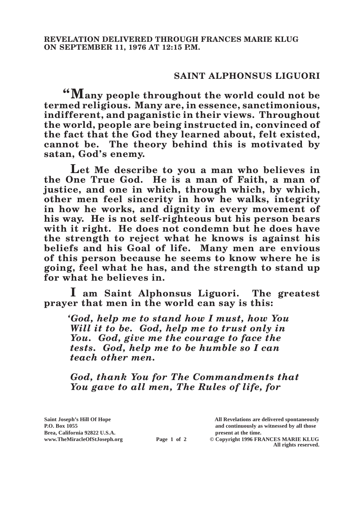## **SAINT ALPHONSUS LIGUORI**

**"Many people throughout the world could not be termed religious. Many are, in essence, sanctimonious, indifferent, and paganistic in their views. Throughout the world, people are being instructed in, convinced of the fact that the God they learned about, felt existed, cannot be. The theory behind this is motivated by satan, God's enemy.**

**Let Me describe to you a man who believes in the One True God. He is a man of Faith, a man of justice, and one in which, through which, by which, other men feel sincerity in how he walks, integrity in how he works, and dignity in every movement of his way. He is not self-righteous but his person bears with it right. He does not condemn but he does have the strength to reject what he knows is against his beliefs and his Goal of life. Many men are envious of this person because he seems to know where he is going, feel what he has, and the strength to stand up for what he believes in.**

**I am Saint Alphonsus Liguori. The greatest prayer that men in the world can say is this:**

*'God, help me to stand how I must, how You Will it to be. God, help me to trust only in You. God, give me the courage to face the tests. God, help me to be humble so I can teach other men.*

*God, thank You for The Commandments that You gave to all men, The Rules of life, for* 

**Brea, California 92822 U.S.A. present at the time. www.TheMiracleOfStJoseph.org Page 1 of 2 © Copyright 1996 FRANCES MARIE KLUG** 

**Saint Joseph's Hill Of Hope All Revelations are delivered spontaneously P.O. Box 1055 and continuously as witnessed by all those** 

**All rights reserved.**